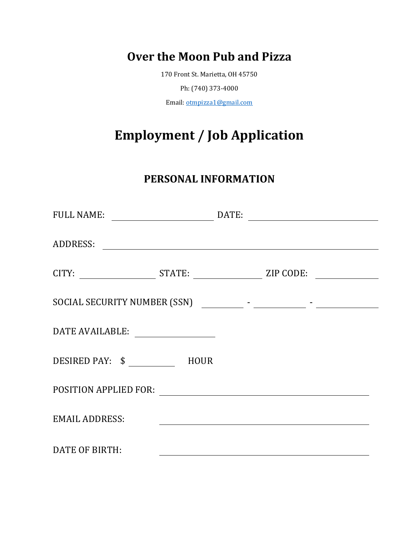### **Over the Moon Pub and Pizza**

170 Front St. Marietta, OH 45750

Ph: (740) 373-4000

Email: otmpizza1@gmail.com

# **Employment / Job Application**

#### **PERSONAL INFORMATION**

| FULL NAME:            |                                                    |                                                                                                                      | DATE: |  |
|-----------------------|----------------------------------------------------|----------------------------------------------------------------------------------------------------------------------|-------|--|
| ADDRESS:              |                                                    |                                                                                                                      |       |  |
|                       |                                                    |                                                                                                                      |       |  |
|                       |                                                    |                                                                                                                      |       |  |
|                       |                                                    |                                                                                                                      |       |  |
|                       |                                                    |                                                                                                                      |       |  |
| POSITION APPLIED FOR: | <u> 1989 - John Stein, Amerikaansk politiker (</u> |                                                                                                                      |       |  |
| <b>EMAIL ADDRESS:</b> |                                                    | <u> 1980 - Johann Barn, mars ann an t-Amhain Aonaich an t-Aonaich an t-Aonaich ann an t-Aonaich ann an t-Aonaich</u> |       |  |
| DATE OF BIRTH:        |                                                    |                                                                                                                      |       |  |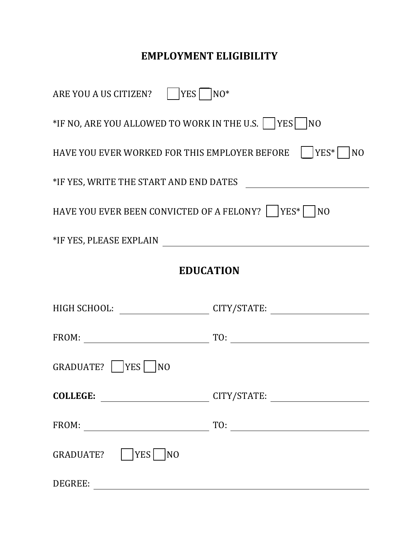## **EMPLOYMENT ELIGIBILITY**

| ARE YOU A US CITIZEN?       YES       NO*                                        |                               |  |
|----------------------------------------------------------------------------------|-------------------------------|--|
| *IF NO, ARE YOU ALLOWED TO WORK IN THE U.S.    YES   NO                          |                               |  |
| HAVE YOU EVER WORKED FOR THIS EMPLOYER BEFORE    YES*   NO                       |                               |  |
|                                                                                  |                               |  |
| HAVE YOU EVER BEEN CONVICTED OF A FELONY?    YES*   NO                           |                               |  |
|                                                                                  |                               |  |
| <b>EDUCATION</b>                                                                 |                               |  |
| HIGH SCHOOL: ___________________________CITY/STATE: ____________________________ |                               |  |
|                                                                                  |                               |  |
| GRADUATE?    YES  <br>N <sub>O</sub>                                             |                               |  |
|                                                                                  | COLLEGE: CITY/STATE: COLLEGE: |  |
|                                                                                  | $\boxed{TO:$                  |  |
| YES<br>GRADUATE?<br>NO                                                           |                               |  |
| DEGREE:                                                                          |                               |  |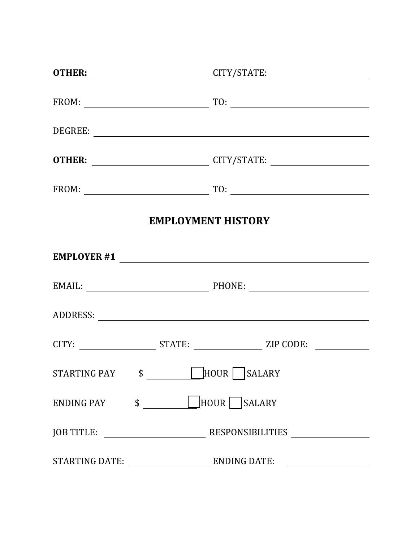|                | OTHER: __________________________________CITY/STATE: ___________________________                                      |
|----------------|-----------------------------------------------------------------------------------------------------------------------|
|                |                                                                                                                       |
|                |                                                                                                                       |
|                | OTHER: __________________________________CITY/STATE: ___________________________                                      |
|                |                                                                                                                       |
|                | <b>EMPLOYMENT HISTORY</b>                                                                                             |
|                | EMPLOYER #1                                                                                                           |
|                |                                                                                                                       |
|                |                                                                                                                       |
|                |                                                                                                                       |
|                | STARTING PAY $\begin{array}{c} \hline \text{S}} \end{array}$ $\begin{array}{c} \hline \text{HOUR} \end{array}$ SALARY |
| ENDING PAY \$  | HOUR SALARY                                                                                                           |
|                |                                                                                                                       |
| STARTING DATE: | ENDING DATE:                                                                                                          |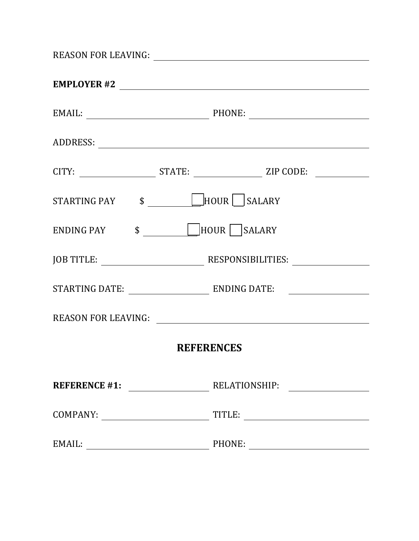|        | EMAIL: PHONE: PHONE:                                                                                                  |
|--------|-----------------------------------------------------------------------------------------------------------------------|
|        |                                                                                                                       |
|        |                                                                                                                       |
|        | STARTING PAY $\begin{array}{c} \hline \text{S}} \end{array}$ $\begin{array}{c} \hline \text{HOUR} \end{array}$ SALARY |
|        | ENDING PAY \$ HOUR SALARY                                                                                             |
|        |                                                                                                                       |
|        |                                                                                                                       |
|        | REASON FOR LEAVING:                                                                                                   |
|        | <b>REFERENCES</b>                                                                                                     |
|        |                                                                                                                       |
|        |                                                                                                                       |
| EMAIL: | PHONE:                                                                                                                |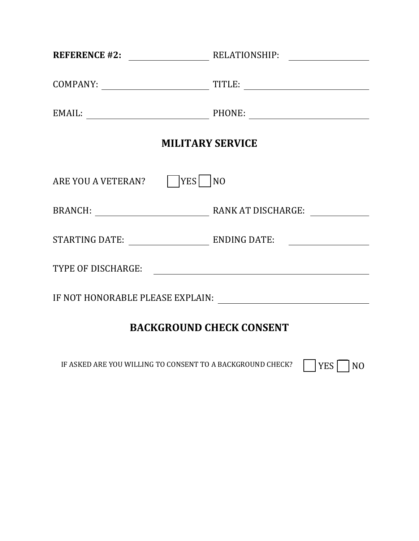|                                     | REFERENCE #2: RELATIONSHIP: |
|-------------------------------------|-----------------------------|
|                                     |                             |
|                                     | EMAIL: PHONE: PHONE:        |
| <b>MILITARY SERVICE</b>             |                             |
| ARE YOU A VETERAN?       YES     NO |                             |
|                                     |                             |
|                                     |                             |
| TYPE OF DISCHARGE:                  |                             |
|                                     |                             |
| <b>BACKGROUND CHECK CONSENT</b>     |                             |

IF ASKED ARE YOU WILLING TO CONSENT TO A BACKGROUND CHECK?  $\Box$  YES  $\Box$  NO